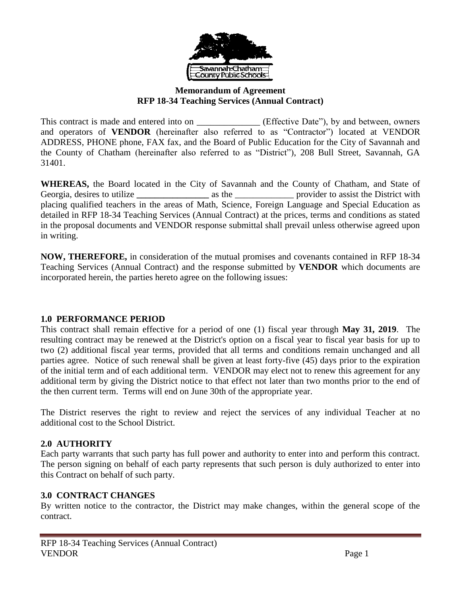

#### **Memorandum of Agreement RFP 18-34 Teaching Services (Annual Contract)**

This contract is made and entered into on \_\_\_\_\_\_\_\_\_\_\_\_\_\_\_ (Effective Date"), by and between, owners and operators of **VENDOR** (hereinafter also referred to as "Contractor") located at VENDOR ADDRESS, PHONE phone, FAX fax, and the Board of Public Education for the City of Savannah and the County of Chatham (hereinafter also referred to as "District"), 208 Bull Street, Savannah, GA 31401.

**WHEREAS,** the Board located in the City of Savannah and the County of Chatham, and State of Georgia, desires to utilize  $\qquad \qquad$  as the  $\qquad \qquad$  provider to assist the District with placing qualified teachers in the areas of Math, Science, Foreign Language and Special Education as detailed in RFP 18-34 Teaching Services (Annual Contract) at the prices, terms and conditions as stated in the proposal documents and VENDOR response submittal shall prevail unless otherwise agreed upon in writing.

**NOW, THEREFORE,** in consideration of the mutual promises and covenants contained in RFP 18-34 Teaching Services (Annual Contract) and the response submitted by **VENDOR** which documents are incorporated herein, the parties hereto agree on the following issues:

## **1.0 PERFORMANCE PERIOD**

This contract shall remain effective for a period of one (1) fiscal year through **May 31, 2019**. The resulting contract may be renewed at the District's option on a fiscal year to fiscal year basis for up to two (2) additional fiscal year terms, provided that all terms and conditions remain unchanged and all parties agree. Notice of such renewal shall be given at least forty-five (45) days prior to the expiration of the initial term and of each additional term. VENDOR may elect not to renew this agreement for any additional term by giving the District notice to that effect not later than two months prior to the end of the then current term. Terms will end on June 30th of the appropriate year.

The District reserves the right to review and reject the services of any individual Teacher at no additional cost to the School District.

## **2.0 AUTHORITY**

Each party warrants that such party has full power and authority to enter into and perform this contract. The person signing on behalf of each party represents that such person is duly authorized to enter into this Contract on behalf of such party.

## **3.0 CONTRACT CHANGES**

By written notice to the contractor, the District may make changes, within the general scope of the contract.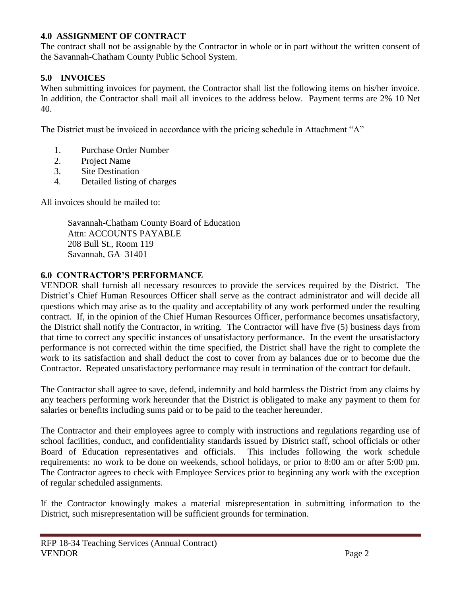# **4.0 ASSIGNMENT OF CONTRACT**

The contract shall not be assignable by the Contractor in whole or in part without the written consent of the Savannah-Chatham County Public School System.

# **5.0 INVOICES**

When submitting invoices for payment, the Contractor shall list the following items on his/her invoice. In addition, the Contractor shall mail all invoices to the address below. Payment terms are 2% 10 Net 40.

The District must be invoiced in accordance with the pricing schedule in Attachment "A"

- 1. Purchase Order Number
- 2. Project Name
- 3. Site Destination
- 4. Detailed listing of charges

All invoices should be mailed to:

Savannah-Chatham County Board of Education Attn: ACCOUNTS PAYABLE 208 Bull St., Room 119 Savannah, GA 31401

## **6.0 CONTRACTOR'S PERFORMANCE**

VENDOR shall furnish all necessary resources to provide the services required by the District. The District's Chief Human Resources Officer shall serve as the contract administrator and will decide all questions which may arise as to the quality and acceptability of any work performed under the resulting contract. If, in the opinion of the Chief Human Resources Officer, performance becomes unsatisfactory, the District shall notify the Contractor, in writing. The Contractor will have five (5) business days from that time to correct any specific instances of unsatisfactory performance. In the event the unsatisfactory performance is not corrected within the time specified, the District shall have the right to complete the work to its satisfaction and shall deduct the cost to cover from ay balances due or to become due the Contractor. Repeated unsatisfactory performance may result in termination of the contract for default.

The Contractor shall agree to save, defend, indemnify and hold harmless the District from any claims by any teachers performing work hereunder that the District is obligated to make any payment to them for salaries or benefits including sums paid or to be paid to the teacher hereunder.

The Contractor and their employees agree to comply with instructions and regulations regarding use of school facilities, conduct, and confidentiality standards issued by District staff, school officials or other Board of Education representatives and officials. This includes following the work schedule requirements: no work to be done on weekends, school holidays, or prior to 8:00 am or after 5:00 pm. The Contractor agrees to check with Employee Services prior to beginning any work with the exception of regular scheduled assignments.

If the Contractor knowingly makes a material misrepresentation in submitting information to the District, such misrepresentation will be sufficient grounds for termination.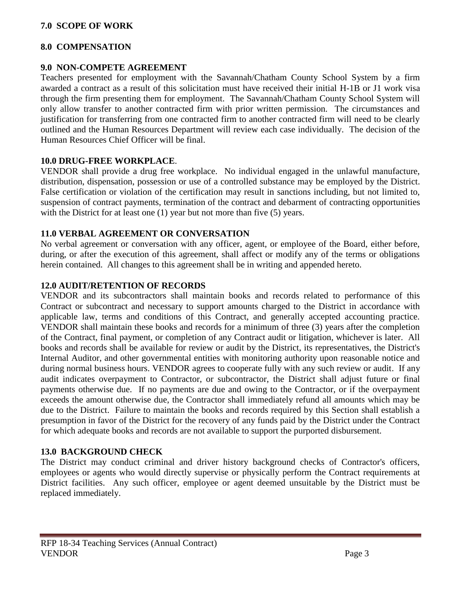## **7.0 SCOPE OF WORK**

#### **8.0 COMPENSATION**

#### **9.0 NON-COMPETE AGREEMENT**

Teachers presented for employment with the Savannah/Chatham County School System by a firm awarded a contract as a result of this solicitation must have received their initial H-1B or J1 work visa through the firm presenting them for employment. The Savannah/Chatham County School System will only allow transfer to another contracted firm with prior written permission. The circumstances and justification for transferring from one contracted firm to another contracted firm will need to be clearly outlined and the Human Resources Department will review each case individually. The decision of the Human Resources Chief Officer will be final.

#### **10.0 DRUG-FREE WORKPLACE**.

VENDOR shall provide a drug free workplace. No individual engaged in the unlawful manufacture, distribution, dispensation, possession or use of a controlled substance may be employed by the District. False certification or violation of the certification may result in sanctions including, but not limited to, suspension of contract payments, termination of the contract and debarment of contracting opportunities with the District for at least one (1) year but not more than five (5) years.

## **11.0 VERBAL AGREEMENT OR CONVERSATION**

No verbal agreement or conversation with any officer, agent, or employee of the Board, either before, during, or after the execution of this agreement, shall affect or modify any of the terms or obligations herein contained. All changes to this agreement shall be in writing and appended hereto.

## **12.0 AUDIT/RETENTION OF RECORDS**

VENDOR and its subcontractors shall maintain books and records related to performance of this Contract or subcontract and necessary to support amounts charged to the District in accordance with applicable law, terms and conditions of this Contract, and generally accepted accounting practice. VENDOR shall maintain these books and records for a minimum of three (3) years after the completion of the Contract, final payment, or completion of any Contract audit or litigation, whichever is later. All books and records shall be available for review or audit by the District, its representatives, the District's Internal Auditor, and other governmental entities with monitoring authority upon reasonable notice and during normal business hours. VENDOR agrees to cooperate fully with any such review or audit. If any audit indicates overpayment to Contractor, or subcontractor, the District shall adjust future or final payments otherwise due. If no payments are due and owing to the Contractor, or if the overpayment exceeds the amount otherwise due, the Contractor shall immediately refund all amounts which may be due to the District. Failure to maintain the books and records required by this Section shall establish a presumption in favor of the District for the recovery of any funds paid by the District under the Contract for which adequate books and records are not available to support the purported disbursement.

## **13.0 BACKGROUND CHECK**

The District may conduct criminal and driver history background checks of Contractor's officers, employees or agents who would directly supervise or physically perform the Contract requirements at District facilities. Any such officer, employee or agent deemed unsuitable by the District must be replaced immediately.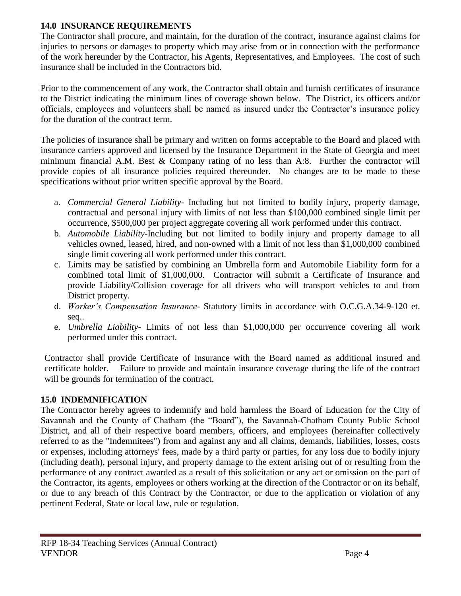# **14.0 INSURANCE REQUIREMENTS**

The Contractor shall procure, and maintain, for the duration of the contract, insurance against claims for injuries to persons or damages to property which may arise from or in connection with the performance of the work hereunder by the Contractor, his Agents, Representatives, and Employees. The cost of such insurance shall be included in the Contractors bid.

Prior to the commencement of any work, the Contractor shall obtain and furnish certificates of insurance to the District indicating the minimum lines of coverage shown below. The District, its officers and/or officials, employees and volunteers shall be named as insured under the Contractor's insurance policy for the duration of the contract term.

The policies of insurance shall be primary and written on forms acceptable to the Board and placed with insurance carriers approved and licensed by the Insurance Department in the State of Georgia and meet minimum financial A.M. Best & Company rating of no less than A:8. Further the contractor will provide copies of all insurance policies required thereunder. No changes are to be made to these specifications without prior written specific approval by the Board.

- a. *Commercial General Liability* Including but not limited to bodily injury, property damage, contractual and personal injury with limits of not less than \$100,000 combined single limit per occurrence, \$500,000 per project aggregate covering all work performed under this contract.
- b. *Automobile Liability-*Including but not limited to bodily injury and property damage to all vehicles owned, leased, hired, and non-owned with a limit of not less than \$1,000,000 combined single limit covering all work performed under this contract.
- c. Limits may be satisfied by combining an Umbrella form and Automobile Liability form for a combined total limit of \$1,000,000. Contractor will submit a Certificate of Insurance and provide Liability/Collision coverage for all drivers who will transport vehicles to and from District property.
- d. *Worker's Compensation Insurance-* Statutory limits in accordance with O.C.G.A.34-9-120 et. seq..
- e. *Umbrella Liability-* Limits of not less than \$1,000,000 per occurrence covering all work performed under this contract.

Contractor shall provide Certificate of Insurance with the Board named as additional insured and certificate holder. Failure to provide and maintain insurance coverage during the life of the contract will be grounds for termination of the contract.

# **15.0 INDEMNIFICATION**

The Contractor hereby agrees to indemnify and hold harmless the Board of Education for the City of Savannah and the County of Chatham (the "Board"), the Savannah-Chatham County Public School District, and all of their respective board members, officers, and employees (hereinafter collectively referred to as the "Indemnitees") from and against any and all claims, demands, liabilities, losses, costs or expenses, including attorneys' fees, made by a third party or parties, for any loss due to bodily injury (including death), personal injury, and property damage to the extent arising out of or resulting from the performance of any contract awarded as a result of this solicitation or any act or omission on the part of the Contractor, its agents, employees or others working at the direction of the Contractor or on its behalf, or due to any breach of this Contract by the Contractor, or due to the application or violation of any pertinent Federal, State or local law, rule or regulation.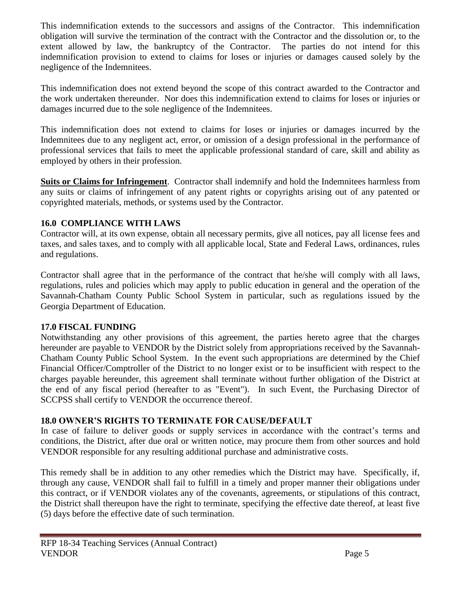This indemnification extends to the successors and assigns of the Contractor. This indemnification obligation will survive the termination of the contract with the Contractor and the dissolution or, to the extent allowed by law, the bankruptcy of the Contractor. The parties do not intend for this indemnification provision to extend to claims for loses or injuries or damages caused solely by the negligence of the Indemnitees.

This indemnification does not extend beyond the scope of this contract awarded to the Contractor and the work undertaken thereunder. Nor does this indemnification extend to claims for loses or injuries or damages incurred due to the sole negligence of the Indemnitees.

This indemnification does not extend to claims for loses or injuries or damages incurred by the Indemnitees due to any negligent act, error, or omission of a design professional in the performance of professional services that fails to meet the applicable professional standard of care, skill and ability as employed by others in their profession.

**Suits or Claims for Infringement**. Contractor shall indemnify and hold the Indemnitees harmless from any suits or claims of infringement of any patent rights or copyrights arising out of any patented or copyrighted materials, methods, or systems used by the Contractor.

## **16.0 COMPLIANCE WITH LAWS**

Contractor will, at its own expense, obtain all necessary permits, give all notices, pay all license fees and taxes, and sales taxes, and to comply with all applicable local, State and Federal Laws, ordinances, rules and regulations.

Contractor shall agree that in the performance of the contract that he/she will comply with all laws, regulations, rules and policies which may apply to public education in general and the operation of the Savannah-Chatham County Public School System in particular, such as regulations issued by the Georgia Department of Education.

## **17.0 FISCAL FUNDING**

Notwithstanding any other provisions of this agreement, the parties hereto agree that the charges hereunder are payable to VENDOR by the District solely from appropriations received by the Savannah-Chatham County Public School System. In the event such appropriations are determined by the Chief Financial Officer/Comptroller of the District to no longer exist or to be insufficient with respect to the charges payable hereunder, this agreement shall terminate without further obligation of the District at the end of any fiscal period (hereafter to as "Event"). In such Event, the Purchasing Director of SCCPSS shall certify to VENDOR the occurrence thereof.

## **18.0 OWNER'S RIGHTS TO TERMINATE FOR CAUSE/DEFAULT**

In case of failure to deliver goods or supply services in accordance with the contract's terms and conditions, the District, after due oral or written notice, may procure them from other sources and hold VENDOR responsible for any resulting additional purchase and administrative costs.

This remedy shall be in addition to any other remedies which the District may have. Specifically, if, through any cause, VENDOR shall fail to fulfill in a timely and proper manner their obligations under this contract, or if VENDOR violates any of the covenants, agreements, or stipulations of this contract, the District shall thereupon have the right to terminate, specifying the effective date thereof, at least five (5) days before the effective date of such termination.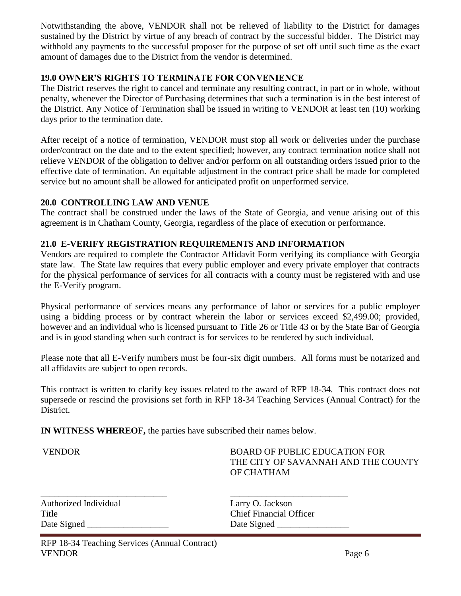Notwithstanding the above, VENDOR shall not be relieved of liability to the District for damages sustained by the District by virtue of any breach of contract by the successful bidder. The District may withhold any payments to the successful proposer for the purpose of set off until such time as the exact amount of damages due to the District from the vendor is determined.

## **19.0 OWNER'S RIGHTS TO TERMINATE FOR CONVENIENCE**

The District reserves the right to cancel and terminate any resulting contract, in part or in whole, without penalty, whenever the Director of Purchasing determines that such a termination is in the best interest of the District. Any Notice of Termination shall be issued in writing to VENDOR at least ten (10) working days prior to the termination date.

After receipt of a notice of termination, VENDOR must stop all work or deliveries under the purchase order/contract on the date and to the extent specified; however, any contract termination notice shall not relieve VENDOR of the obligation to deliver and/or perform on all outstanding orders issued prior to the effective date of termination. An equitable adjustment in the contract price shall be made for completed service but no amount shall be allowed for anticipated profit on unperformed service.

## **20.0 CONTROLLING LAW AND VENUE**

The contract shall be construed under the laws of the State of Georgia, and venue arising out of this agreement is in Chatham County, Georgia, regardless of the place of execution or performance.

## **21.0 E-VERIFY REGISTRATION REQUIREMENTS AND INFORMATION**

Vendors are required to complete the Contractor Affidavit Form verifying its compliance with Georgia state law. The State law requires that every public employer and every private employer that contracts for the physical performance of services for all contracts with a county must be registered with and use the E-Verify program.

Physical performance of services means any performance of labor or services for a public employer using a bidding process or by contract wherein the labor or services exceed \$2,499.00; provided, however and an individual who is licensed pursuant to Title 26 or Title 43 or by the State Bar of Georgia and is in good standing when such contract is for services to be rendered by such individual.

Please note that all E-Verify numbers must be four-six digit numbers. All forms must be notarized and all affidavits are subject to open records.

This contract is written to clarify key issues related to the award of RFP 18-34. This contract does not supersede or rescind the provisions set forth in RFP 18-34 Teaching Services (Annual Contract) for the District.

**IN WITNESS WHEREOF,** the parties have subscribed their names below.

VENDOR BOARD OF PUBLIC EDUCATION FOR THE CITY OF SAVANNAH AND THE COUNTY OF CHATHAM

Authorized Individual Larry O. Jackson Date Signed \_\_\_\_\_\_\_\_\_\_\_\_\_\_\_\_\_\_ Date Signed \_\_\_\_\_\_\_\_\_\_\_\_\_\_\_\_

\_\_\_\_\_\_\_\_\_\_\_\_\_\_\_\_\_\_\_\_\_\_\_\_\_\_\_\_ \_\_\_\_\_\_\_\_\_\_\_\_\_\_\_\_\_\_\_\_\_\_\_\_\_\_ Title Chief Financial Officer